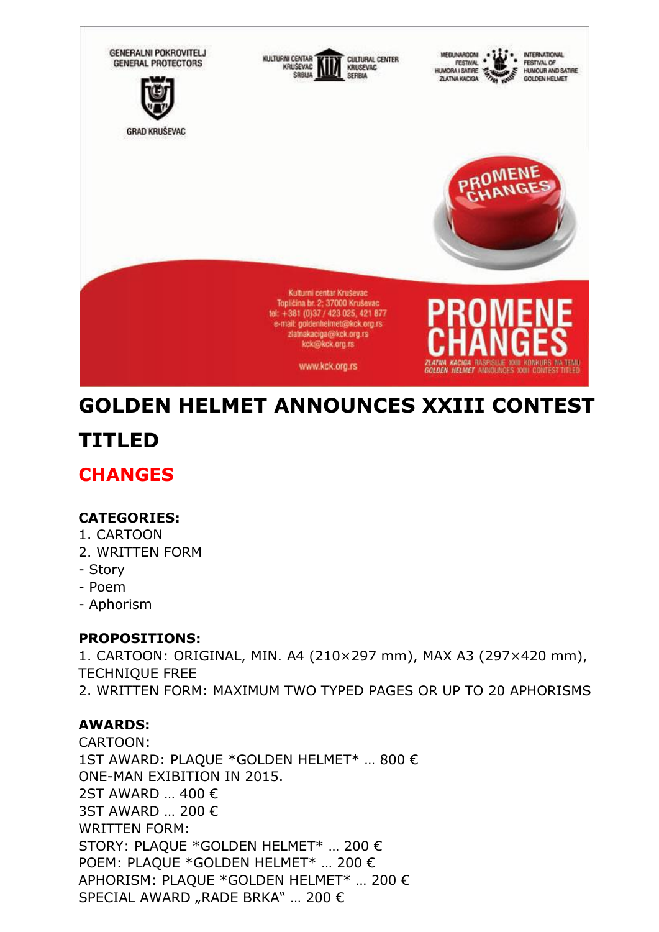

# **GOLDEN HELMET ANNOUNCES XXIII CONTEST**

## **TITLED**

### **CHANGES**

### **CATEGORIES:**

- 1. CARTOON
- 2. WRITTEN FORM
- Story
- Poem
- Aphorism

### **PROPOSITIONS:**

1. CARTOON: ORIGINAL, MIN. A4 (210×297 mm), MAX A3 (297×420 mm), TECHNIQUE FREE 2. WRITTEN FORM: MAXIMUM TWO TYPED PAGES OR UP TO 20 APHORISMS

### **AWARDS:**

CARTOON: 1ST AWARD: PLAQUE \*GOLDEN HELMET\* … 800 € ONE-MAN EXIBITION IN 2015. 2ST AWARD … 400 € 3ST AWARD … 200 € WRITTEN FORM: STORY: PLAQUE \*GOLDEN HELMET\* … 200 € POEM: PLAQUE \*GOLDEN HELMET\* … 200 € APHORISM: PLAQUE \*GOLDEN HELMET\* … 200 € SPECIAL AWARD "RADE BRKA" ... 200 €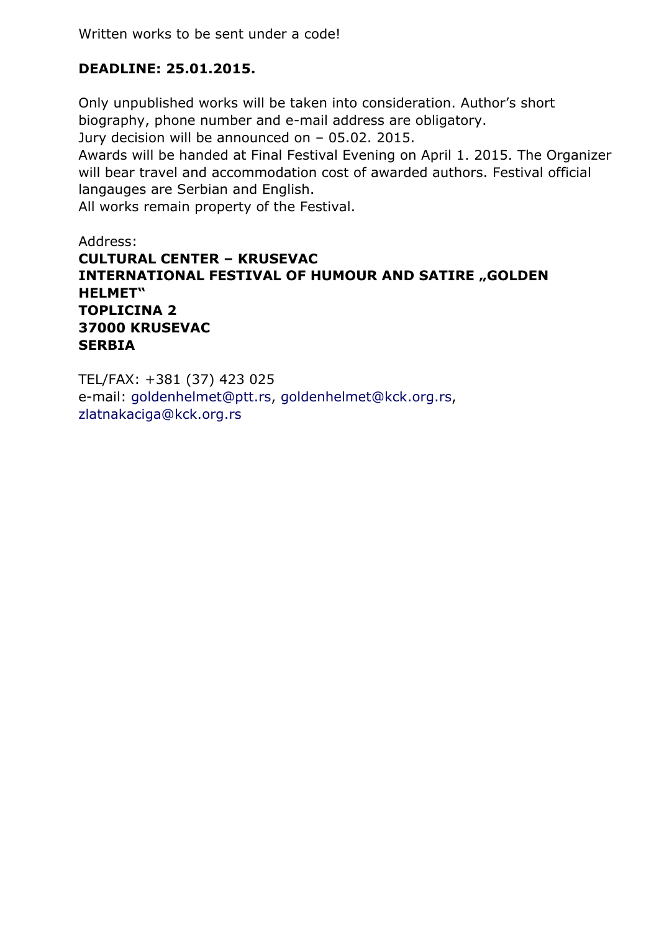### **DEADLINE: 25.01.2015.**

Only unpublished works will be taken into consideration. Author's short biography, phone number and e-mail address are obligatory.

Jury decision will be announced on – 05.02. 2015.

Awards will be handed at Final Festival Evening on April 1. 2015. The Organizer will bear travel and accommodation cost of awarded authors. Festival official langauges are Serbian and English.

All works remain property of the Festival.

### Address: **CULTURAL CENTER – KRUSEVAC INTERNATIONAL FESTIVAL OF HUMOUR AND SATIRE "GOLDEN HELMET" TOPLICINA 2 37000 KRUSEVAC SERBIA**

TEL/FAX: +381 (37) 423 025 e-mail: [goldenhelmet@ptt.rs,](javascript:DeCryptX() [goldenhelmet@kck.org.rs,](javascript:DeCryptX() [zlatnakaciga@kck.org.rs](javascript:DeCryptX()